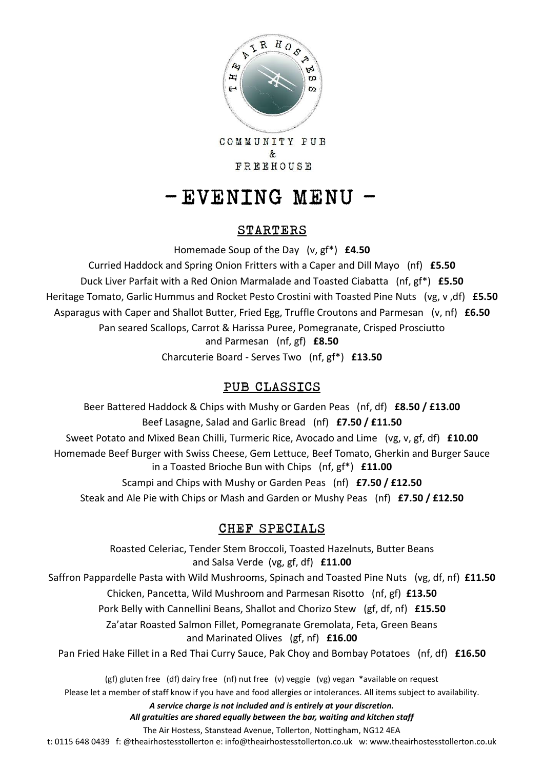

COMMUNITY PUB  $\&$ FREEHOUSE

# - EVENING MENU -

### STARTERS

Homemade Soup of the Day (v, gf\*) **£4.50**

Curried Haddock and Spring Onion Fritters with a Caper and Dill Mayo (nf) **£5.50** Duck Liver Parfait with a Red Onion Marmalade and Toasted Ciabatta (nf, gf\*) **£5.50** Heritage Tomato, Garlic Hummus and Rocket Pesto Crostini with Toasted Pine Nuts (vg, v ,df) **£5.50** Asparagus with Caper and Shallot Butter, Fried Egg, Truffle Croutons and Parmesan (v, nf) **£6.50** Pan seared Scallops, Carrot & Harissa Puree, Pomegranate, Crisped Prosciutto and Parmesan (nf, gf) **£8.50** Charcuterie Board - Serves Two (nf, gf\*) **£13.50**

## PUB CLASSICS

Beer Battered Haddock & Chips with Mushy or Garden Peas (nf, df) **£8.50 / £13.00** Beef Lasagne, Salad and Garlic Bread (nf) **£7.50 / £11.50** Sweet Potato and Mixed Bean Chilli, Turmeric Rice, Avocado and Lime (vg, v, gf, df) **£10.00** Homemade Beef Burger with Swiss Cheese, Gem Lettuce, Beef Tomato, Gherkin and Burger Sauce in a Toasted Brioche Bun with Chips (nf, gf\*) **£11.00** Scampi and Chips with Mushy or Garden Peas (nf) **£7.50 / £12.50** Steak and Ale Pie with Chips or Mash and Garden or Mushy Peas (nf) **£7.50 / £12.50**

### CHEF SPECIALS

Roasted Celeriac, Tender Stem Broccoli, Toasted Hazelnuts, Butter Beans and Salsa Verde (vg, gf, df) **£11.00** Saffron Pappardelle Pasta with Wild Mushrooms, Spinach and Toasted Pine Nuts (vg, df, nf) **£11.50** Chicken, Pancetta, Wild Mushroom and Parmesan Risotto (nf, gf) **£13.50** Pork Belly with Cannellini Beans, Shallot and Chorizo Stew (gf, df, nf) **£15.50** Za'atar Roasted Salmon Fillet, Pomegranate Gremolata, Feta, Green Beans and Marinated Olives (gf, nf) **£16.00** Pan Fried Hake Fillet in a Red Thai Curry Sauce, Pak Choy and Bombay Potatoes (nf, df) **£16.50** (gf) gluten free (df) dairy free (nf) nut free (v) veggie (vg) vegan \*available on request

Please let a member of staff know if you have and food allergies or intolerances. All items subject to availability.

*A service charge is not included and is entirely at your discretion.* 

*All gratuities are shared equally between the bar, waiting and kitchen staff*

The Air Hostess, Stanstead Avenue, Tollerton, Nottingham, NG12 4EA

t: 0115 648 0439 f: @theairhostesstollerton e: info@theairhostesstollerton.co.uk w: www.theairhostesstollerton.co.uk